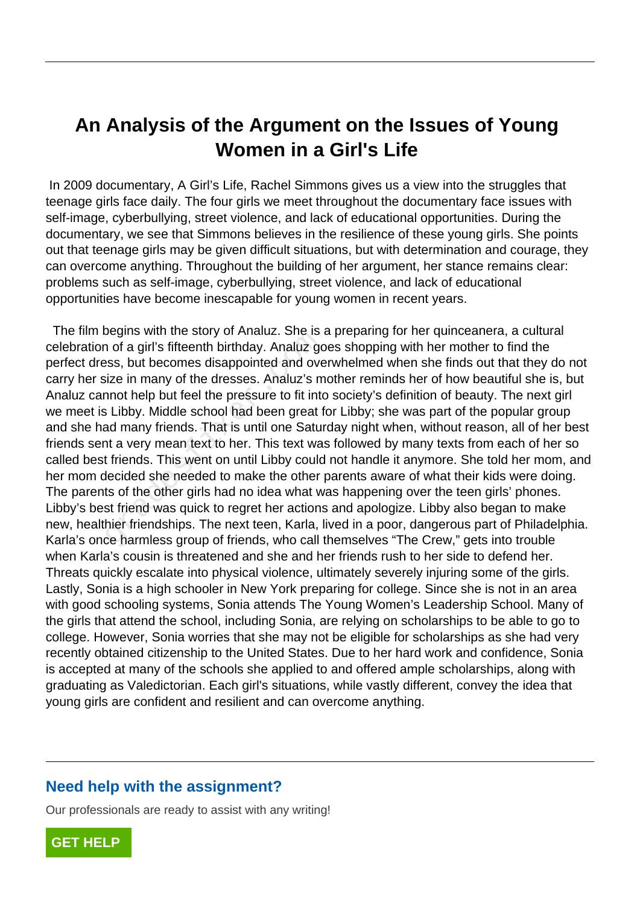## **An Analysis of the Argument on the Issues of Young Women in a Girl's Life**

 In 2009 documentary, A Girl's Life, Rachel Simmons gives us a view into the struggles that teenage girls face daily. The four girls we meet throughout the documentary face issues with self-image, cyberbullying, street violence, and lack of educational opportunities. During the documentary, we see that Simmons believes in the resilience of these young girls. She points out that teenage girls may be given difficult situations, but with determination and courage, they can overcome anything. Throughout the building of her argument, her stance remains clear: problems such as self-image, cyberbullying, street violence, and lack of educational opportunities have become inescapable for young women in recent years.

 The film begins with the story of Analuz. She is a preparing for her quinceanera, a cultural celebration of a girl's fifteenth birthday. Analuz goes shopping with her mother to find the perfect dress, but becomes disappointed and overwhelmed when she finds out that they do not carry her size in many of the dresses. Analuz's mother reminds her of how beautiful she is, but Analuz cannot help but feel the pressure to fit into society's definition of beauty. The next girl we meet is Libby. Middle school had been great for Libby; she was part of the popular group and she had many friends. That is until one Saturday night when, without reason, all of her best friends sent a very mean text to her. This text was followed by many texts from each of her so called best friends. This went on until Libby could not handle it anymore. She told her mom, and her mom decided she needed to make the other parents aware of what their kids were doing. The parents of the other girls had no idea what was happening over the teen girls' phones. Libby's best friend was quick to regret her actions and apologize. Libby also began to make new, healthier friendships. The next teen, Karla, lived in a poor, dangerous part of Philadelphia. Karla's once harmless group of friends, who call themselves "The Crew," gets into trouble when Karla's cousin is threatened and she and her friends rush to her side to defend her. Threats quickly escalate into physical violence, ultimately severely injuring some of the girls. Lastly, Sonia is a high schooler in New York preparing for college. Since she is not in an area with good schooling systems, Sonia attends The Young Women's Leadership School. Many of the girls that attend the school, including Sonia, are relying on scholarships to be able to go to college. However, Sonia worries that she may not be eligible for scholarships as she had very recently obtained citizenship to the United States. Due to her hard work and confidence, Sonia is accepted at many of the schools she applied to and offered ample scholarships, along with graduating as Valedictorian. Each girl's situations, while vastly different, convey the idea that young girls are confident and resilient and can overcome anything. The state of Arialdz. She is<br>a of a girl's fifteenth birthday. Analuz go<br>ess, but becomes disappointed and ove<br>ize in many of the dresses. Analuz's m<br>nnot help but feel the pressure to fit into<br>is Libby. Middle school had

## **Need help with the assignment?**

Our professionals are ready to assist with any writing!